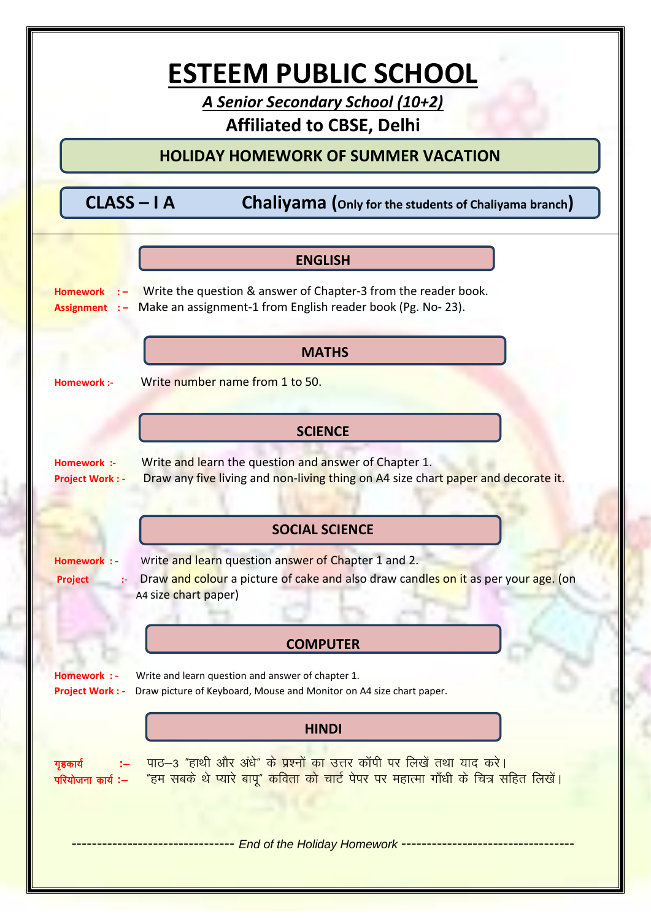